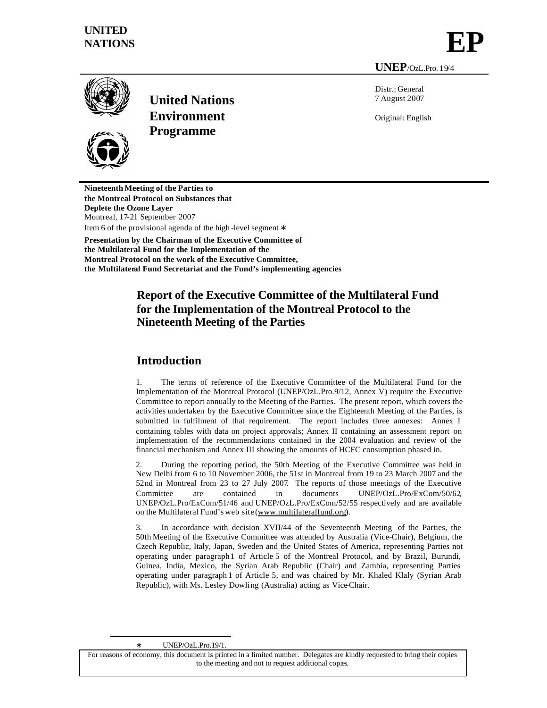# **UNITED** NATIONS<br>NATIONS

**UNEP**/OzL.Pro. 19/4



**United Nations Environment Programme**

Distr.: General 7 August 2007

Original: English

**Nineteenth Meeting of the Parties to the Montreal Protocol on Substances that Deplete the Ozone Layer** Montreal, 17-21 September 2007 Item 6 of the provisional agenda of the high -level segment ∗ **Presentation by the Chairman of the Executive Committee of the Multilateral Fund for the Implementation of the**

**Montreal Protocol on the work of the Executive Committee, the Multilateral Fund Secretariat and the Fund's implementing agencies**

## **Report of the Executive Committee of the Multilateral Fund for the Implementation of the Montreal Protocol to the Nineteenth Meeting of the Parties**

## **Introduction**

1. The terms of reference of the Executive Committee of the Multilateral Fund for the Implementation of the Montreal Protocol (UNEP/OzL.Pro.9/12, Annex V) require the Executive Committee to report annually to the Meeting of the Parties. The present report, which covers the activities undertaken by the Executive Committee since the Eighteenth Meeting of the Parties, is submitted in fulfilment of that requirement. The report includes three annexes: Annex I containing tables with data on project approvals; Annex II containing an assessment report on implementation of the recommendations contained in the 2004 evaluation and review of the financial mechanism and Annex III showing the amounts of HCFC consumption phased in.

2. During the reporting period, the 50th Meeting of the Executive Committee was held in New Delhi from 6 to 10 November 2006, the 51st in Montreal from 19 to 23 March 2007 and the 52nd in Montreal from 23 to 27 July 2007. The reports of those meetings of the Executive Committee are contained in documents UNEP/OzL.Pro/ExCom/50/62, UNEP/OzL.Pro/ExCom/51/46 and UNEP/OzL.Pro/ExCom/52/55 respectively and are available on the Multilateral Fund's web site (www.multilateralfund.org).

3. In accordance with decision XVII/44 of the Seventeenth Meeting of the Parties, the 50th Meeting of the Executive Committee was attended by Australia (Vice-Chair), Belgium, the Czech Republic, Italy, Japan, Sweden and the United States of America, representing Parties not operating under paragraph1 of Article 5 of the Montreal Protocol, and by Brazil, Burundi, Guinea, India, Mexico, the Syrian Arab Republic (Chair) and Zambia, representing Parties operating under paragraph 1 of Article 5, and was chaired by Mr. Khaled Klaly (Syrian Arab Republic), with Ms. Lesley Dowling (Australia) acting as Vice-Chair.

∗ UNEP/OzL.Pro.19/1.

l

For reasons of economy, this document is printed in a limited number. Delegates are kindly requested to bring their copies to the meeting and not to request additional copies.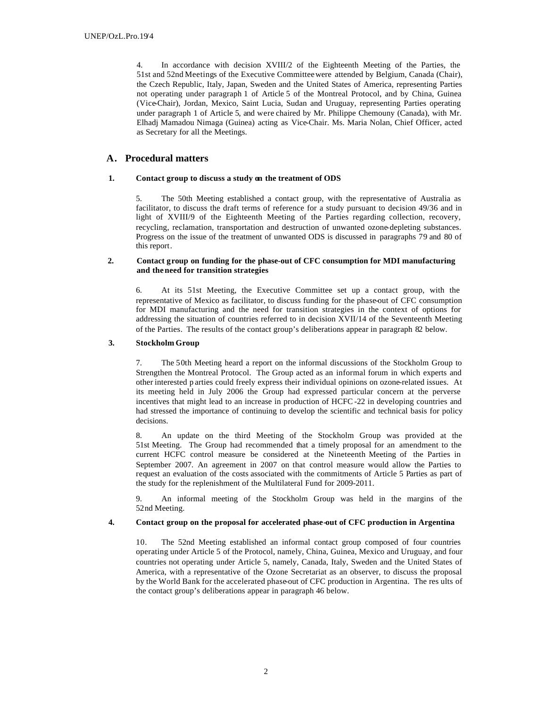4. In accordance with decision XVIII/2 of the Eighteenth Meeting of the Parties, the 51st and 52nd Meetings of the Executive Committee were attended by Belgium, Canada (Chair), the Czech Republic, Italy, Japan, Sweden and the United States of America, representing Parties not operating under paragraph 1 of Article 5 of the Montreal Protocol, and by China, Guinea (Vice-Chair), Jordan, Mexico, Saint Lucia, Sudan and Uruguay, representing Parties operating under paragraph 1 of Article 5, and were chaired by Mr. Philippe Chemouny (Canada), with Mr. Elhadj Mamadou Nimaga (Guinea) acting as Vice-Chair. Ms. Maria Nolan, Chief Officer, acted as Secretary for all the Meetings.

## **A. Procedural matters**

## **1. Contact group to discuss a study on the treatment of ODS**

5. The 50th Meeting established a contact group, with the representative of Australia as facilitator, to discuss the draft terms of reference for a study pursuant to decision 49/36 and in light of XVIII/9 of the Eighteenth Meeting of the Parties regarding collection, recovery, recycling, reclamation, transportation and destruction of unwanted ozone-depleting substances. Progress on the issue of the treatment of unwanted ODS is discussed in paragraphs 79 and 80 of this report.

## **2. Contact group on funding for the phase-out of CFC consumption for MDI manufacturing and the need for transition strategies**

6. At its 51st Meeting, the Executive Committee set up a contact group, with the representative of Mexico as facilitator, to discuss funding for the phase-out of CFC consumption for MDI manufacturing and the need for transition strategies in the context of options for addressing the situation of countries referred to in decision XVII/14 of the Seventeenth Meeting of the Parties. The results of the contact group's deliberations appear in paragraph 82 below.

## **3. Stockholm Group**

7. The 50th Meeting heard a report on the informal discussions of the Stockholm Group to Strengthen the Montreal Protocol. The Group acted as an informal forum in which experts and other interested p arties could freely express their individual opinions on ozone-related issues. At its meeting held in July 2006 the Group had expressed particular concern at the perverse incentives that might lead to an increase in production of HCFC -22 in developing countries and had stressed the importance of continuing to develop the scientific and technical basis for policy decisions.

8. An update on the third Meeting of the Stockholm Group was provided at the 51st Meeting. The Group had recommended that a timely proposal for an amendment to the current HCFC control measure be considered at the Nineteenth Meeting of the Parties in September 2007. An agreement in 2007 on that control measure would allow the Parties to request an evaluation of the costs associated with the commitments of Article 5 Parties as part of the study for the replenishment of the Multilateral Fund for 2009-2011.

9. An informal meeting of the Stockholm Group was held in the margins of the 52nd Meeting.

## **4. Contact group on the proposal for accelerated phase-out of CFC production in Argentina**

10. The 52nd Meeting established an informal contact group composed of four countries operating under Article 5 of the Protocol, namely, China, Guinea, Mexico and Uruguay, and four countries not operating under Article 5, namely, Canada, Italy, Sweden and the United States of America, with a representative of the Ozone Secretariat as an observer, to discuss the proposal by the World Bank for the accelerated phase-out of CFC production in Argentina. The res ults of the contact group's deliberations appear in paragraph 46 below.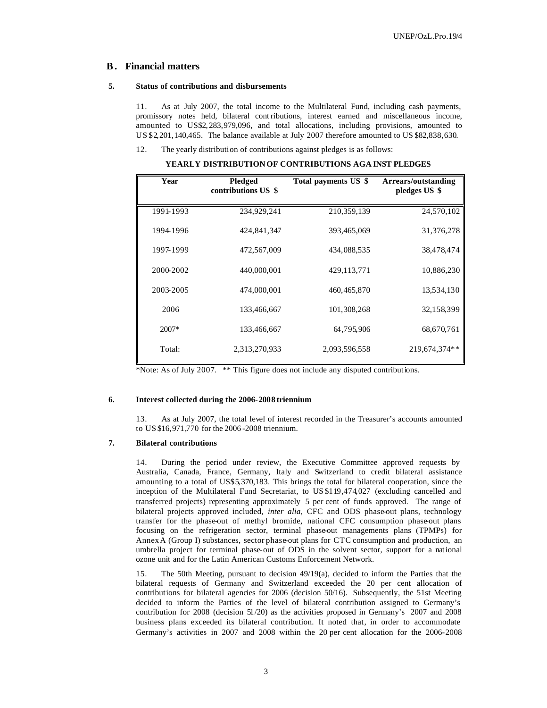## **B . Financial matters**

#### **5. Status of contributions and disbursements**

11. As at July 2007, the total income to the Multilateral Fund, including cash payments, promissory notes held, bilateral contributions, interest earned and miscellaneous income, amounted to US\$2, 283,979,096, and total allocations, including provisions, amounted to US \$2,201,140,465. The balance available at July 2007 therefore amounted to US \$82,838,630.

12. The yearly distribution of contributions against pledges is as follows:

**YEARLY DISTRIBUTION OF CONTRIBUTIONS AGA INST PLEDGES**

| Year      | Pledged<br>contributions US \$ | Total payments US \$ | Arrears/outstanding<br>pledges US \$ |
|-----------|--------------------------------|----------------------|--------------------------------------|
| 1991-1993 | 234,929,241                    | 210,359,139          | 24,570,102                           |
| 19941996  | 424,841,347                    | 393,465,069          | 31,376,278                           |
| 1997-1999 | 472,567,009                    | 434,088,535          | 38,478,474                           |
| 2000-2002 | 440,000,001                    | 429,113,771          | 10,886,230                           |
| 2003-2005 | 474,000,001                    | 460, 465, 870        | 13,534,130                           |
| 2006      | 133,466,667                    | 101,308,268          | 32,158,399                           |
| $2007*$   | 133,466,667                    | 64,795,906           | 68,670,761                           |
| Total:    | 2,313,270,933                  | 2,093,596,558        | 219,674,374**                        |

\*Note: As of July 2007. \*\* This figure does not include any disputed contributions.

#### **6. Interest collected during the 2006-2008 triennium**

13. As at July 2007, the total level of interest recorded in the Treasurer's accounts amounted to US \$16,971,770 for the 2006 -2008 triennium.

## **7. Bilateral contributions**

14. During the period under review, the Executive Committee approved requests by Australia, Canada, France, Germany, Italy and Switzerland to credit bilateral assistance amounting to a total of US\$5,370,183. This brings the total for bilateral cooperation, since the inception of the Multilateral Fund Secretariat, to US \$119,474,027 (excluding cancelled and transferred projects) representing approximately 5 per cent of funds approved. The range of bilateral projects approved included, *inter alia*, CFC and ODS phase-out plans, technology transfer for the phase-out of methyl bromide, national CFC consumption phase-out plans focusing on the refrigeration sector, terminal phase-out managements plans (TPMPs) for AnnexA (Group I) substances, sector phase-out plans for CTC consumption and production, an umbrella project for terminal phase-out of ODS in the solvent sector, support for a national ozone unit and for the Latin American Customs Enforcement Network.

15. The 50th Meeting, pursuant to decision 49/19(a), decided to inform the Parties that the bilateral requests of Germany and Switzerland exceeded the 20 per cent allocation of contributions for bilateral agencies for 2006 (decision 50/16). Subsequently, the 51st Meeting decided to inform the Parties of the level of bilateral contribution assigned to Germany's contribution for 2008 (decision 51/20) as the activities proposed in Germany's 2007 and 2008 business plans exceeded its bilateral contribution. It noted that, in order to accommodate Germany's activities in 2007 and 2008 within the 20 per cent allocation for the 2006-2008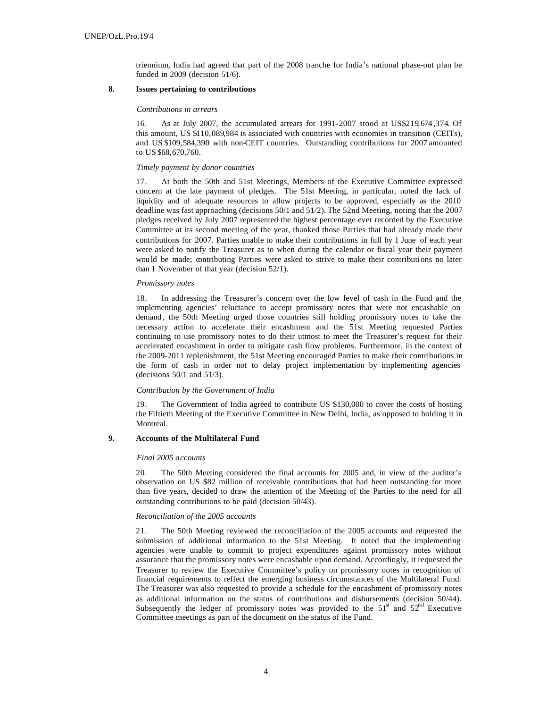triennium, India had agreed that part of the 2008 tranche for India's national phase-out plan be funded in 2009 (decision 51/6).

## **8. Issues pertaining to contributions**

#### *Contributions in arrears*

16. As at July 2007, the accumulated arrears for 1991-2007 stood at US\$219,674 ,374. Of this amount, US \$110,089,984 is associated with countries with economies in transition (CEITs), and US \$109,584,390 with non-CEIT countries. Outstanding contributions for 2007 amounted to US \$68,670,760.

#### *Timely payment by donor countries*

17. At both the 50th and 51st Meetings, Members of the Executive Committee expressed concern at the late payment of pledges. The 51st Meeting, in particular, noted the lack of liquidity and of adequate resources to allow projects to be approved, especially as the 2010 deadline was fast approaching (decisions 50/1 and 51/2). The 52nd Meeting, noting that the 2007 pledges received by July 2007 represented the highest percentage ever recorded by the Executive Committee at its second meeting of the year, thanked those Parties that had already made their contributions for 2007. Parties unable to make their contributions in full by 1 June of each year were asked to notify the Treasurer as to when during the calendar or fiscal year their payment wou ld be made; contributing Parties were asked to strive to make their contributions no later than 1 November of that year (decision 52/1).

#### *Promissory notes*

18. In addressing the Treasurer's concern over the low level of cash in the Fund and the implementing agencies' reluctance to accept promissory notes that were not encashable on demand , the 50th Meeting urged those countries still holding promissory notes to take the necessary action to accelerate their encashment and the 51st Meeting requested Parties continuing to use promissory notes to do their utmost to meet the Treasurer's request for their accelerated encashment in order to mitigate cash flow problems. Furthermore, in the context of the 2009-2011 replenishment, the 51st Meeting encouraged Parties to make their contributions in the form of cash in order not to delay project implementation by implementing agencies (decisions 50/1 and 51/3).

#### *Contribution by the Government of India*

19. The Government of India agreed to contribute US \$130,000 to cover the costs of hosting the Fiftieth Meeting of the Executive Committee in New Delhi, India, as opposed to holding it in Montreal.

#### **9. Accounts of the Multilateral Fund**

#### *Final 2005 accounts*

20. The 50th Meeting considered the final accounts for 2005 and, in view of the auditor's observation on US \$82 million of receivable contributions that had been outstanding for more than five years, decided to draw the attention of the Meeting of the Parties to the need for all outstanding contributions to be paid (decision 50/43).

#### *Reconciliation of the 2005 accounts*

21. The 50th Meeting reviewed the reconciliation of the 2005 accounts and requested the submission of additional information to the 51st Meeting. It noted that the implementing agencies were unable to commit to project expenditures against promissory notes without assurance that the promissory notes were encashable upon demand. Accordingly, it requested the Treasurer to review the Executive Committee's policy on promissory notes in recognition of financial requirements to reflect the emerging business circumstances of the Multilateral Fund. The Treasurer was also requested to provide a schedule for the encashment of promissory notes as additional information on the status of contributions and disbursements (decision 50/44). Subsequently the ledger of promissory notes was provided to the  $51<sup>st</sup>$  and  $52<sup>nd</sup>$  Executive Committee meetings as part of the document on the status of the Fund.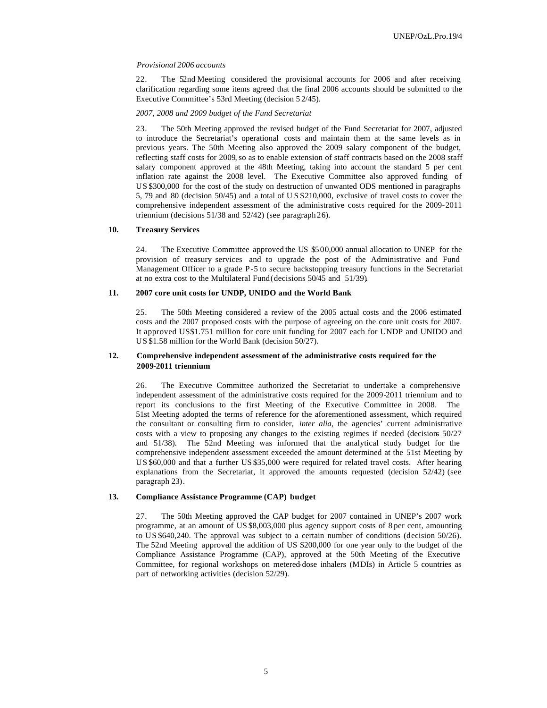#### *Provisional 2006 accounts*

22. The 52nd Meeting considered the provisional accounts for 2006 and after receiving clarification regarding some items agreed that the final 2006 accounts should be submitted to the Executive Committee's 53rd Meeting (decision 5 2/45).

## *2007, 2008 and 2009 budget of the Fund Secretariat*

23. The 50th Meeting approved the revised budget of the Fund Secretariat for 2007, adjusted to introduce the Secretariat's operational costs and maintain them at the same levels as in previous years. The 50th Meeting also approved the 2009 salary component of the budget, reflecting staff costs for 2009, so as to enable extension of staff contracts based on the 2008 staff salary component approved at the 48th Meeting, taking into account the standard 5 per cent inflation rate against the 2008 level. The Executive Committee also approved funding of US \$300,000 for the cost of the study on destruction of unwanted ODS mentioned in paragraphs 5, 79 and 80 (decision 50/45) and a total of U S \$210,000, exclusive of travel costs to cover the comprehensive independent assessment of the administrative costs required for the 2009-2011 triennium (decisions 51/38 and 52/42) (see paragraph 26).

## **10. Treasury Services**

24. The Executive Committee approved the US \$5 00,000 annual allocation to UNEP for the provision of treasury services and to upgrade the post of the Administrative and Fund Management Officer to a grade P-5 to secure backstopping treasury functions in the Secretariat at no extra cost to the Multilateral Fund (decisions 50/45 and 51/39).

### **11. 2007 core unit costs for UNDP, UNIDO and the World Bank**

25. The 50th Meeting considered a review of the 2005 actual costs and the 2006 estimated costs and the 2007 proposed costs with the purpose of agreeing on the core unit costs for 2007. It approved US\$1.751 million for core unit funding for 2007 each for UNDP and UNIDO and US \$1.58 million for the World Bank (decision 50/27).

#### **12. Comprehensive independent assessment of the administrative costs required for the 2009-2011 triennium**

26. The Executive Committee authorized the Secretariat to undertake a comprehensive independent assessment of the administrative costs required for the 2009-2011 triennium and to report its conclusions to the first Meeting of the Executive Committee in 2008. The 51st Meeting adopted the terms of reference for the aforementioned assessment, which required the consultant or consulting firm to consider, *inter alia*, the agencies' current administrative costs with a view to proposing any changes to the existing regimes if needed (decisions 50/27 and 51/38). The 52nd Meeting was informed that the analytical study budget for the comprehensive independent assessment exceeded the amount determined at the 51st Meeting by US \$60,000 and that a further US \$35,000 were required for related travel costs. After hearing explanations from the Secretariat, it approved the amounts requested (decision 52/42) (see paragraph 23).

### **13. Compliance Assistance Programme (CAP) budget**

27. The 50th Meeting approved the CAP budget for 2007 contained in UNEP's 2007 work programme, at an amount of US \$8,003,000 plus agency support costs of 8 per cent, amounting to US \$640,240. The approval was subject to a certain number of conditions (decision 50/26). The 52nd Meeting approved the addition of US \$200,000 for one year only to the budget of the Compliance Assistance Programme (CAP), approved at the 50th Meeting of the Executive Committee, for regional workshops on metered-dose inhalers (MDIs) in Article 5 countries as part of networking activities (decision 52/29).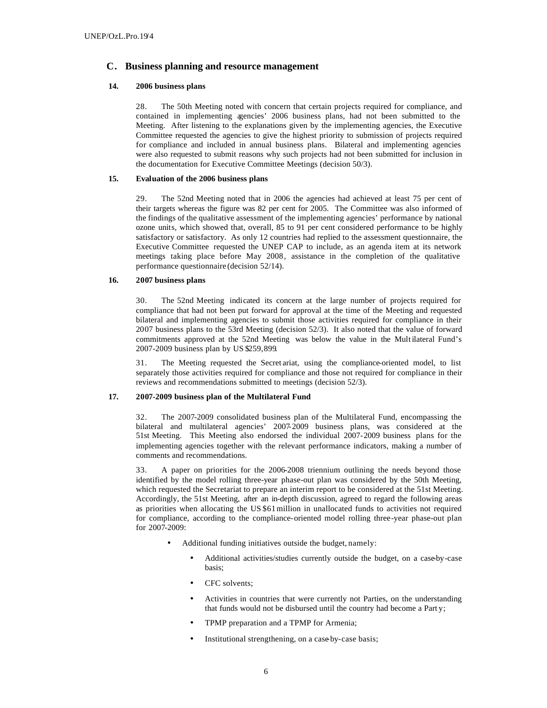## **C. Business planning and resource management**

## **14. 2006 business plans**

28. The 50th Meeting noted with concern that certain projects required for compliance, and contained in implementing agencies' 2006 business plans, had not been submitted to the Meeting. After listening to the explanations given by the implementing agencies, the Executive Committee requested the agencies to give the highest priority to submission of projects required for compliance and included in annual business plans. Bilateral and implementing agencies were also requested to submit reasons why such projects had not been submitted for inclusion in the documentation for Executive Committee Meetings (decision 50/3).

## **15. Evaluation of the 2006 business plans**

29. The 52nd Meeting noted that in 2006 the agencies had achieved at least 75 per cent of their targets whereas the figure was 82 per cent for 2005. The Committee was also informed of the findings of the qualitative assessment of the implementing agencies' performance by national ozone units, which showed that, overall, 85 to 91 per cent considered performance to be highly satisfactory or satisfactory. As only 12 countries had replied to the assessment questionnaire, the Executive Committee requested the UNEP CAP to include, as an agenda item at its network meetings taking place before May 2008, assistance in the completion of the qualitative performance questionnaire (decision 52/14).

## **16. 2007 business plans**

30. The 52nd Meeting indicated its concern at the large number of projects required for compliance that had not been put forward for approval at the time of the Meeting and requested bilateral and implementing agencies to submit those activities required for compliance in their 2007 business plans to the 53rd Meeting (decision 52/3). It also noted that the value of forward commitments approved at the 52nd Meeting was below the value in the Multilateral Fund's 2007-2009 business plan by US \$259,899.

31. The Meeting requested the Secret ariat, using the compliance-oriented model, to list separately those activities required for compliance and those not required for compliance in their reviews and recommendations submitted to meetings (decision 52/3).

## **17. 2007-2009 business plan of the Multilateral Fund**

32. The 2007-2009 consolidated business plan of the Multilateral Fund, encompassing the bilateral and multilateral agencies' 2007-2009 business plans, was considered at the 51st Meeting. This Meeting also endorsed the individual 2007-2009 business plans for the implementing agencies together with the relevant performance indicators, making a number of comments and recommendations.

33. A paper on priorities for the 2006-2008 triennium outlining the needs beyond those identified by the model rolling three-year phase-out plan was considered by the 50th Meeting, which requested the Secretariat to prepare an interim report to be considered at the 51st Meeting. Accordingly, the 51st Meeting, after an in-depth discussion, agreed to regard the following areas as priorities when allocating the US \$61million in unallocated funds to activities not required for compliance, according to the compliance-oriented model rolling three-year phase-out plan for 2007-2009:

- Additional funding initiatives outside the budget, namely:
	- Additional activities/studies currently outside the budget, on a case-by-case basis;
	- CFC solvents;
	- Activities in countries that were currently not Parties, on the understanding that funds would not be disbursed until the country had become a Part y;
	- TPMP preparation and a TPMP for Armenia;
	- Institutional strengthening, on a case by-case basis;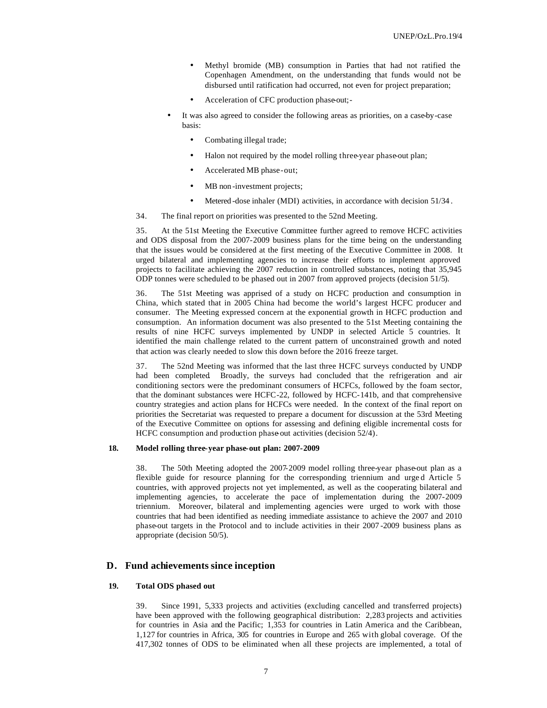- Methyl bromide (MB) consumption in Parties that had not ratified the Copenhagen Amendment, on the understanding that funds would not be disbursed until ratification had occurred, not even for project preparation;
- Acceleration of CFC production phase-out;-
- It was also agreed to consider the following areas as priorities, on a case-by-case basis:
	- Combating illegal trade;
	- Halon not required by the model rolling three-year phase-out plan;
	- Accelerated MB phase-out;
	- MB non-investment projects;
	- Metered -dose inhaler (MDI) activities, in accordance with decision 51/34.
- 34. The final report on priorities was presented to the 52nd Meeting.

35. At the 51st Meeting the Executive Committee further agreed to remove HCFC activities and ODS disposal from the 2007-2009 business plans for the time being on the understanding that the issues would be considered at the first meeting of the Executive Committee in 2008. It urged bilateral and implementing agencies to increase their efforts to implement approved projects to facilitate achieving the 2007 reduction in controlled substances, noting that 35,945 ODP tonnes were scheduled to be phased out in 2007 from approved projects (decision 51/5).

36. The 51st Meeting was apprised of a study on HCFC production and consumption in China, which stated that in 2005 China had become the world's largest HCFC producer and consumer. The Meeting expressed concern at the exponential growth in HCFC production and consumption. An information document was also presented to the 51st Meeting containing the results of nine HCFC surveys implemented by UNDP in selected Article 5 countries. It identified the main challenge related to the current pattern of unconstrained growth and noted that action was clearly needed to slow this down before the 2016 freeze target.

37. The 52nd Meeting was informed that the last three HCFC surveys conducted by UNDP had been completed. Broadly, the surveys had concluded that the refrigeration and air conditioning sectors were the predominant consumers of HCFCs, followed by the foam sector, that the dominant substances were HCFC-22, followed by HCFC-141b, and that comprehensive country strategies and action plans for HCFCs were needed. In the context of the final report on priorities the Secretariat was requested to prepare a document for discussion at the 53rd Meeting of the Executive Committee on options for assessing and defining eligible incremental costs for HCFC consumption and production phase out activities (decision 52/4).

#### **18. Model rolling three-year phase-out plan: 2007-2009**

38. The 50th Meeting adopted the 2007-2009 model rolling three-year phase-out plan as a flexible guide for resource planning for the corresponding triennium and urged Article 5 countries, with approved projects not yet implemented, as well as the cooperating bilateral and implementing agencies, to accelerate the pace of implementation during the 2007-2009 triennium. Moreover, bilateral and implementing agencies were urged to work with those countries that had been identified as needing immediate assistance to achieve the 2007 and 2010 phase-out targets in the Protocol and to include activities in their 2007 -2009 business plans as appropriate (decision 50/5).

## **D. Fund achievements since inception**

### **19. Total ODS phased out**

39. Since 1991, 5,333 projects and activities (excluding cancelled and transferred projects) have been approved with the following geographical distribution: 2,283 projects and activities for countries in Asia and the Pacific; 1,353 for countries in Latin America and the Caribbean, 1,127 for countries in Africa, 305 for countries in Europe and 265 with global coverage. Of the 417,302 tonnes of ODS to be eliminated when all these projects are implemented, a total of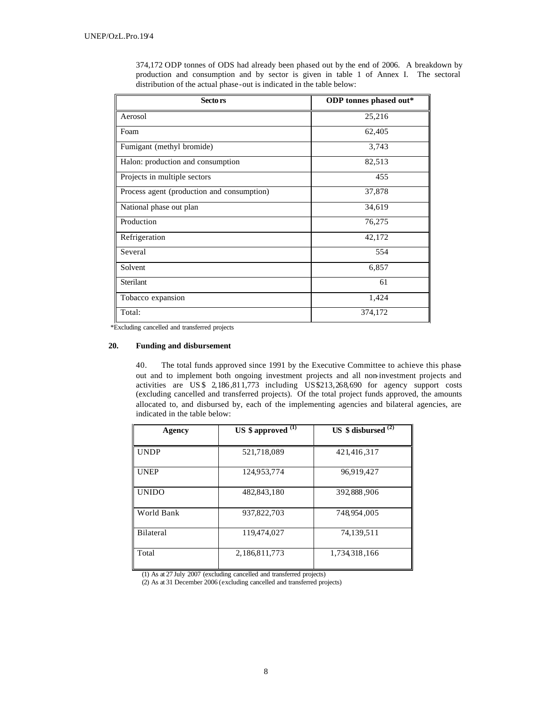| Sectors                                    | ODP tonnes phased out* |
|--------------------------------------------|------------------------|
| Aerosol                                    | 25,216                 |
| Foam                                       | 62,405                 |
| Fumigant (methyl bromide)                  | 3,743                  |
| Halon: production and consumption          | 82,513                 |
| Projects in multiple sectors               | 455                    |
| Process agent (production and consumption) | 37,878                 |
| National phase out plan                    | 34,619                 |
| Production                                 | 76,275                 |
| Refrigeration                              | 42,172                 |
| Several                                    | 554                    |
| Solvent                                    | 6,857                  |
| Sterilant                                  | 61                     |
| Tobacco expansion                          | 1,424                  |
| Total:                                     | 374,172                |

374,172 ODP tonnes of ODS had already been phased out by the end of 2006. A breakdown by production and consumption and by sector is given in table 1 of Annex I. The sectoral distribution of the actual phase-out is indicated in the table below:

\*Excluding cancelled and transferred projects

## **20. Funding and disbursement**

40. The total funds approved since 1991 by the Executive Committee to achieve this phaseout and to implement both ongoing investment projects and all non-investment projects and activities are US \$ 2,186 ,811,773 including US\$213,268,690 for agency support costs (excluding cancelled and transferred projects). Of the total project funds approved, the amounts allocated to, and disbursed by, each of the implementing agencies and bilateral agencies, are indicated in the table below:

| Agency           | US $$$ approved $^{(1)}$ | US $$$ disbursed $^{(2)}$ |
|------------------|--------------------------|---------------------------|
| <b>UNDP</b>      | 521,718,089              | 421,416,317               |
| <b>UNEP</b>      | 124,953,774              | 96,919,427                |
| <b>UNIDO</b>     | 482,843,180              | 392,888,906               |
| World Bank       | 937,822,703              | 748,954,005               |
| <b>Bilateral</b> | 119,474,027              | 74,139,511                |
| Total            | 2,186,811,773            | 1,734,318,166             |

(1) As at 27 July 2007 (excluding cancelled and transferred projects)

(2) As at 31 December 2006 (excluding cancelled and transferred projects)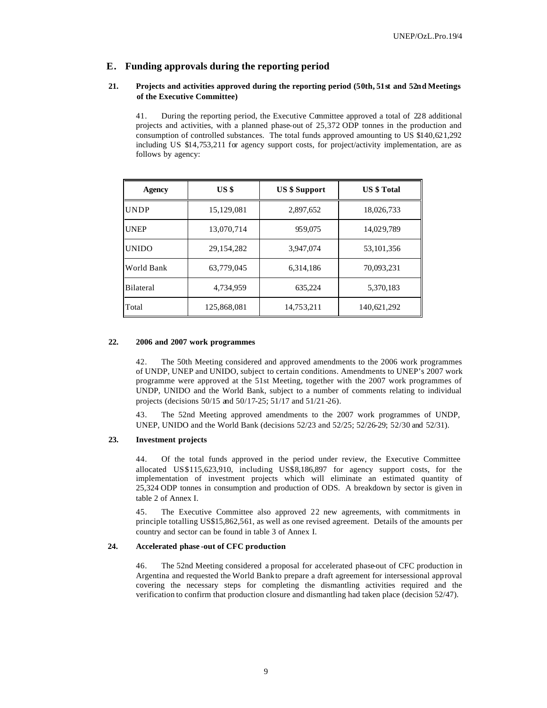## **E. Funding approvals during the reporting period**

## **21. Projects and activities approved during the reporting period (50th, 51st and 52nd Meetings of the Executive Committee)**

41. During the reporting period, the Executive Committee approved a total of 228 additional projects and activities, with a planned phase-out of 25,372 ODP tonnes in the production and consumption of controlled substances. The total funds approved amounting to US \$140,621,292 including US \$14,753,211 for agency support costs, for project/activity implementation, are as follows by agency:

| <b>Agency</b> | US <sub>3</sub> | <b>US \$ Support</b> | <b>US</b> \$ Total |
|---------------|-----------------|----------------------|--------------------|
| <b>UNDP</b>   | 15,129,081      | 2,897,652            | 18,026,733         |
| <b>UNEP</b>   | 13,070,714      | 959,075              | 14,029,789         |
| <b>UNIDO</b>  | 29, 154, 282    | 3,947,074            | 53, 101, 356       |
| World Bank    | 63,779,045      | 6,314,186            | 70,093,231         |
| Bilateral     | 4,734,959       | 635,224              | 5,370,183          |
| Total         | 125,868,081     | 14,753,211           | 140,621,292        |

### **22. 2006 and 2007 work programmes**

42. The 50th Meeting considered and approved amendments to the 2006 work programmes of UNDP, UNEP and UNIDO, subject to certain conditions. Amendments to UNEP's 2007 work programme were approved at the 51st Meeting, together with the 2007 work programmes of UNDP, UNIDO and the World Bank, subject to a number of comments relating to individual projects (decisions 50/15 and 50/17-25; 51/17 and 51/21-26).

43. The 52nd Meeting approved amendments to the 2007 work programmes of UNDP, UNEP, UNIDO and the World Bank (decisions 52/23 and 52/25; 52/26-29; 52/30 and 52/31).

#### **23. Investment projects**

44. Of the total funds approved in the period under review, the Executive Committee allocated US\$115,623,910, including US\$8,186,897 for agency support costs, for the implementation of investment projects which will eliminate an estimated quantity of 25,324 ODP tonnes in consumption and production of ODS. A breakdown by sector is given in table 2 of Annex I.

45. The Executive Committee also approved 22 new agreements, with commitments in principle totalling US\$15,862,561, as well as one revised agreement. Details of the amounts per country and sector can be found in table 3 of Annex I.

## **24. Accelerated phase -out of CFC production**

46. The 52nd Meeting considered a proposal for accelerated phase-out of CFC production in Argentina and requested the World Bank to prepare a draft agreement for intersessional approval covering the necessary steps for completing the dismantling activities required and the verification to confirm that production closure and dismantling had taken place (decision 52/47).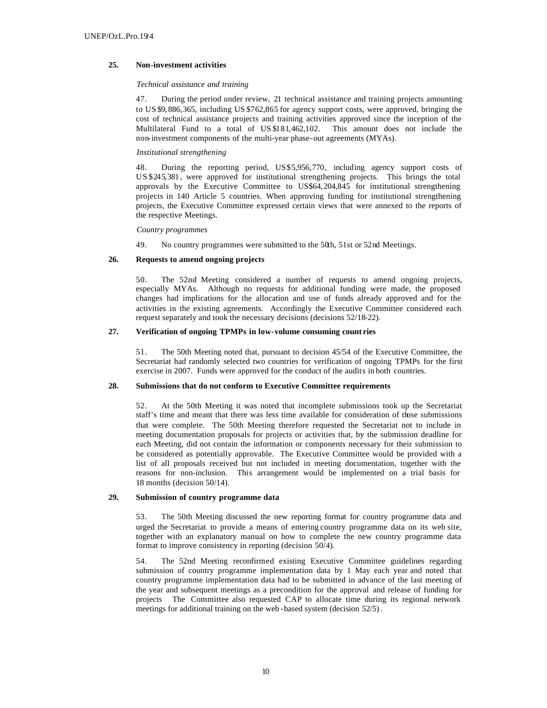## **25. Non-investment activities**

#### *Technical assistance and training*

47. During the period under review, 21 technical assistance and training projects amounting to US \$9, 886,365, including US \$762,865 for agency support costs, were approved, bringing the cost of technical assistance projects and training activities approved since the inception of the Multilateral Fund to a total of US \$181,462,102. This amount does not include the non-investment components of the multi-year phase-out agreements (MYAs).

## *Institutional strengthening*

48. During the reporting period, US\$5,956,770, including agency support costs of US \$245,381 , were approved for institutional strengthening projects. This brings the total approvals by the Executive Committee to US\$64,204,845 for institutional strengthening projects in 140 Article 5 countries. When approving funding for institutional strengthening projects, the Executive Committee expressed certain views that were annexed to the reports of the respective Meetings.

#### *Country programmes*

49. No country programmes were submitted to the 50th, 51st or 52nd Meetings.

## **26. Requests to amend ongoing projects**

50. The 52nd Meeting considered a number of requests to amend ongoing projects, especially MYAs. Although no requests for additional funding were made, the proposed changes had implications for the allocation and use of funds already approved and for the activities in the existing agreements. Accordingly the Executive Committee considered each request separately and took the necessary decisions (decisions 52/18-22).

## **27. Verification of ongoing TPMPs in low-volume consuming count ries**

51. The 50th Meeting noted that, pursuant to decision 45/54 of the Executive Committee, the Secretariat had randomly selected two countries for verification of ongoing TPMPs for the first exercise in 2007. Funds were approved for the conduct of the audits in both countries.

## **28. Submissions that do not conform to Executive Committee requirements**

52. At the 50th Meeting it was noted that incomplete submissions took up the Secretariat staff's time and meant that there was less time available for consideration of those submissions that were complete. The 50th Meeting therefore requested the Secretariat not to include in meeting documentation proposals for projects or activities that, by the submission deadline for each Meeting, did not contain the information or components necessary for their submission to be considered as potentially approvable. The Executive Committee would be provided with a list of all proposals received but not included in meeting documentation, together with the reasons for non-inclusion. This arrangement would be implemented on a trial basis for 18 months (decision 50/14).

## **29. Submission of country programme data**

53. The 50th Meeting discussed the new reporting format for country programme data and urged the Secretariat to provide a means of entering country programme data on its web site, together with an explanatory manual on how to complete the new country programme data format to improve consistency in reporting (decision 50/4).

54. The 52nd Meeting reconfirmed existing Executive Committee guidelines regarding submission of country programme implementation data by 1 May each year and noted that country programme implementation data had to be submitted in advance of the last meeting of the year and subsequent meetings as a precondition for the approval and release of funding for projects The Committee also requested CAP to allocate time during its regional network meetings for additional training on the web -based system (decision 52/5).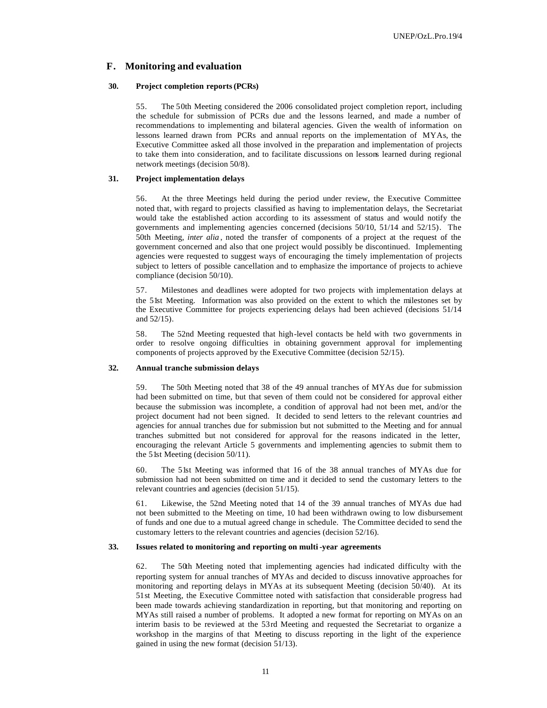## **F. Monitoring and evaluation**

### **30. Project completion reports (PCRs)**

55. The 50th Meeting considered the 2006 consolidated project completion report, including the schedule for submission of PCRs due and the lessons learned, and made a number of recommendations to implementing and bilateral agencies. Given the wealth of information on lessons learned drawn from PCRs and annual reports on the implementation of MYAs, the Executive Committee asked all those involved in the preparation and implementation of projects to take them into consideration, and to facilitate discussions on lessons learned during regional network meetings (decision 50/8).

#### **31. Project implementation delays**

56. At the three Meetings held during the period under review, the Executive Committee noted that, with regard to projects classified as having to implementation delays, the Secretariat would take the established action according to its assessment of status and would notify the governments and implementing agencies concerned (decisions 50/10, 51/14 and 52/15). The 50th Meeting, *inter alia* , noted the transfer of components of a project at the request of the government concerned and also that one project would possibly be discontinued. Implementing agencies were requested to suggest ways of encouraging the timely implementation of projects subject to letters of possible cancellation and to emphasize the importance of projects to achieve compliance (decision 50/10).

57. Milestones and deadlines were adopted for two projects with implementation delays at the 51st Meeting. Information was also provided on the extent to which the milestones set by the Executive Committee for projects experiencing delays had been achieved (decisions 51/14 and 52/15).

58. The 52nd Meeting requested that high-level contacts be held with two governments in order to resolve ongoing difficulties in obtaining government approval for implementing components of projects approved by the Executive Committee (decision 52/15).

## **32. Annual tranche submission delays**

59. The 50th Meeting noted that 38 of the 49 annual tranches of MYAs due for submission had been submitted on time, but that seven of them could not be considered for approval either because the submission was incomplete, a condition of approval had not been met, and/or the project document had not been signed. It decided to send letters to the relevant countries and agencies for annual tranches due for submission but not submitted to the Meeting and for annual tranches submitted but not considered for approval for the reasons indicated in the letter, encouraging the relevant Article 5 governments and implementing agencies to submit them to the 51st Meeting (decision 50/11).

60. The 51st Meeting was informed that 16 of the 38 annual tranches of MYAs due for submission had not been submitted on time and it decided to send the customary letters to the relevant countries and agencies (decision 51/15).

61. Likewise, the 52nd Meeting noted that 14 of the 39 annual tranches of MYAs due had not been submitted to the Meeting on time, 10 had been withdrawn owing to low disbursement of funds and one due to a mutual agreed change in schedule. The Committee decided to send the customary letters to the relevant countries and agencies (decision 52/16).

## **33. Issues related to monitoring and reporting on multi -year agreements**

62. The 50th Meeting noted that implementing agencies had indicated difficulty with the reporting system for annual tranches of MYAs and decided to discuss innovative approaches for monitoring and reporting delays in MYAs at its subsequent Meeting (decision 50/40). At its 51st Meeting, the Executive Committee noted with satisfaction that considerable progress had been made towards achieving standardization in reporting, but that monitoring and reporting on MYAs still raised a number of problems. It adopted a new format for reporting on MYAs on an interim basis to be reviewed at the 53rd Meeting and requested the Secretariat to organize a workshop in the margins of that Meeting to discuss reporting in the light of the experience gained in using the new format (decision 51/13).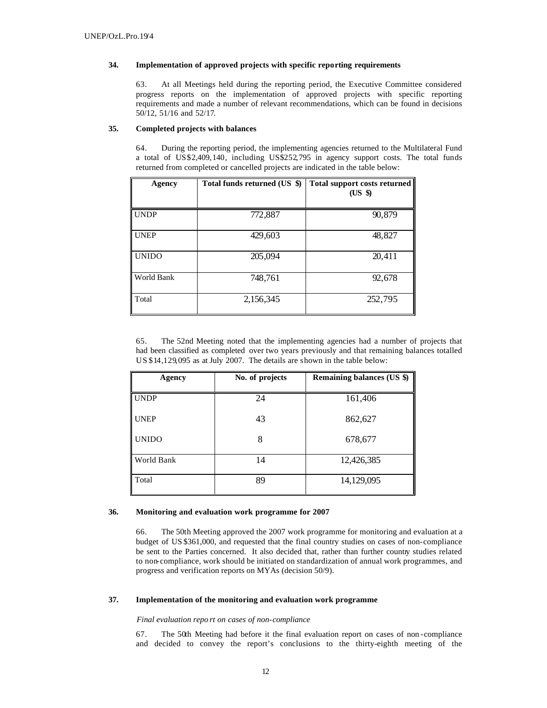## **34. Implementation of approved projects with specific reporting requirements**

63. At all Meetings held during the reporting period, the Executive Committee considered progress reports on the implementation of approved projects with specific reporting requirements and made a number of relevant recommendations, which can be found in decisions 50/12, 51/16 and 52/17.

## **35. Completed projects with balances**

64. During the reporting period, the implementing agencies returned to the Multilateral Fund a total of US\$2,409,140, including US\$252,795 in agency support costs. The total funds returned from completed or cancelled projects are indicated in the table below:

| Agency       | Total funds returned (US \$) | <b>Total support costs returned</b><br>(US \$) |
|--------------|------------------------------|------------------------------------------------|
| <b>UNDP</b>  | 772,887                      | 90,879                                         |
| <b>UNEP</b>  | 429,603                      | 48,827                                         |
| <b>UNIDO</b> | 205,094                      | 20,411                                         |
| World Bank   | 748,761                      | 92,678                                         |
| Total        | 2,156,345                    | 252,795                                        |

65. The 52nd Meeting noted that the implementing agencies had a number of projects that had been classified as completed over two years previously and that remaining balances totalled US \$14,129,095 as at July 2007. The details are shown in the table below:

| Agency       | No. of projects | <b>Remaining balances (US \$)</b> |
|--------------|-----------------|-----------------------------------|
| UNDP         | 24              | 161,406                           |
| <b>UNEP</b>  | 43              | 862,627                           |
| <b>UNIDO</b> | 8               | 678,677                           |
| World Bank   | 14              | 12,426,385                        |
| Total        | 89              | 14,129,095                        |

#### **36. Monitoring and evaluation work programme for 2007**

66. The 50th Meeting approved the 2007 work programme for monitoring and evaluation at a budget of US \$361,000, and requested that the final country studies on cases of non-compliance be sent to the Parties concerned. It also decided that, rather than further country studies related to non-compliance, work should be initiated on standardization of annual work programmes, and progress and verification reports on MYAs (decision 50/9).

## **37. Implementation of the monitoring and evaluation work programme**

### *Final evaluation repo rt on cases of non-compliance*

67. The 50th Meeting had before it the final evaluation report on cases of non -compliance and decided to convey the report's conclusions to the thirty-eighth meeting of the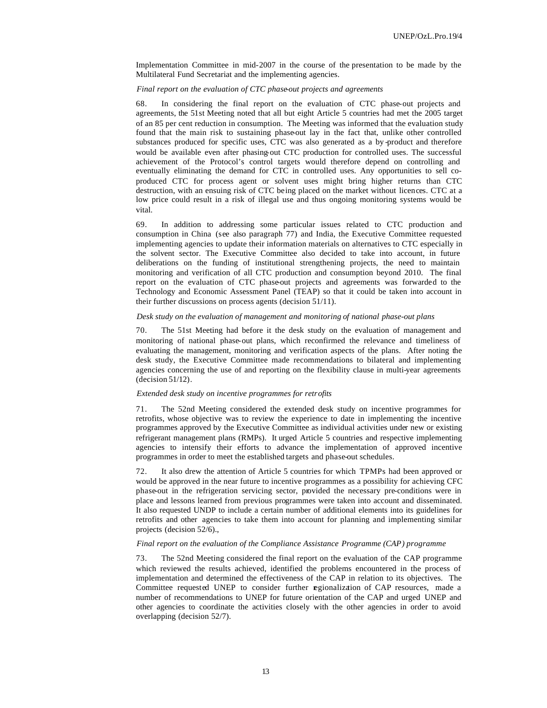Implementation Committee in mid-2007 in the course of the presentation to be made by the Multilateral Fund Secretariat and the implementing agencies.

#### *Final report on the evaluation of CTC phase-out projects and agreements*

68. In considering the final report on the evaluation of CTC phase-out projects and agreements, the 51st Meeting noted that all but eight Article 5 countries had met the 2005 target of an 85 per cent reduction in consumption. The Meeting was informed that the evaluation study found that the main risk to sustaining phase-out lay in the fact that, unlike other controlled substances produced for specific uses, CTC was also generated as a by -product and therefore would be available even after phasing-out CTC production for controlled uses. The successful achievement of the Protocol's control targets would therefore depend on controlling and eventually eliminating the demand for CTC in controlled uses. Any opportunities to sell coproduced CTC for process agent or solvent uses might bring higher returns than CTC destruction, with an ensuing risk of CTC being placed on the market without licences. CTC at a low price could result in a risk of illegal use and thus ongoing monitoring systems would be vital.

69. In addition to addressing some particular issues related to CTC production and consumption in China (see also paragraph 77) and India, the Executive Committee requested implementing agencies to update their information materials on alternatives to CTC especially in the solvent sector. The Executive Committee also decided to take into account, in future deliberations on the funding of institutional strengthening projects, the need to maintain monitoring and verification of all CTC production and consumption beyond 2010. The final report on the evaluation of CTC phase-out projects and agreements was forwarded to the Technology and Economic Assessment Panel (TEAP) so that it could be taken into account in their further discussions on process agents (decision 51/11).

#### *Desk study on the evaluation of management and monitoring of national phase-out plans*

70. The 51st Meeting had before it the desk study on the evaluation of management and monitoring of national phase-out plans, which reconfirmed the relevance and timeliness of evaluating the management, monitoring and verification aspects of the plans. After noting the desk study, the Executive Committee made recommendations to bilateral and implementing agencies concerning the use of and reporting on the flexibility clause in multi-year agreements (decision 51/12).

#### *Extended desk study on incentive programmes for retrofits*

71. The 52nd Meeting considered the extended desk study on incentive programmes for retrofits, whose objective was to review the experience to date in implementing the incentive programmes approved by the Executive Committee as individual activities under new or existing refrigerant management plans (RMPs). It urged Article 5 countries and respective implementing agencies to intensify their efforts to advance the implementation of approved incentive programmes in order to meet the established targets and phase-out schedules.

It also drew the attention of Article 5 countries for which TPMPs had been approved or would be approved in the near future to incentive programmes as a possibility for achieving CFC phase-out in the refrigeration servicing sector, provided the necessary pre-conditions were in place and lessons learned from previous programmes were taken into account and disseminated. It also requested UNDP to include a certain number of additional elements into its guidelines for retrofits and other agencies to take them into account for planning and implementing similar projects (decision 52/6).,

### *Final report on the evaluation of the Compliance Assistance Programme (CAP) programme*

73. The 52nd Meeting considered the final report on the evaluation of the CAP programme which reviewed the results achieved, identified the problems encountered in the process of implementation and determined the effectiveness of the CAP in relation to its objectives. The Committee requested UNEP to consider further regionalization of CAP resources, made a number of recommendations to UNEP for future orientation of the CAP and urged UNEP and other agencies to coordinate the activities closely with the other agencies in order to avoid overlapping (decision 52/7).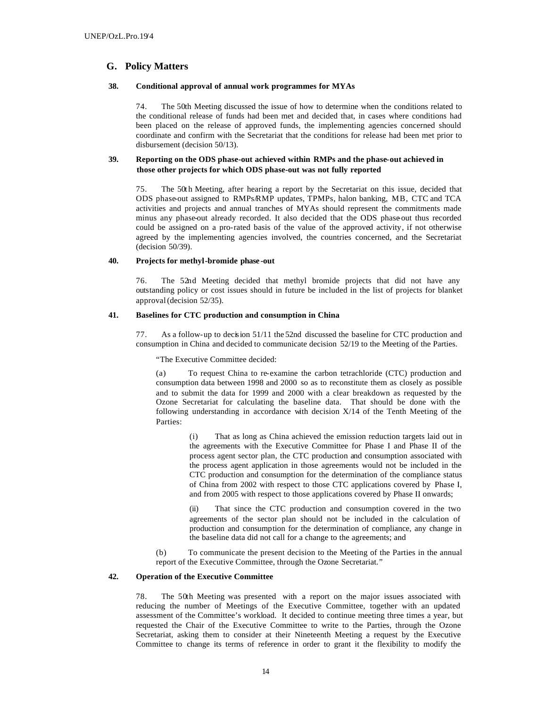## **G. Policy Matters**

## **38. Conditional approval of annual work programmes for MYAs**

74. The 50th Meeting discussed the issue of how to determine when the conditions related to the conditional release of funds had been met and decided that, in cases where conditions had been placed on the release of approved funds, the implementing agencies concerned should coordinate and confirm with the Secretariat that the conditions for release had been met prior to disbursement (decision 50/13).

## **39. Reporting on the ODS phase-out achieved within RMPs and the phase-out achieved in those other projects for which ODS phase-out was not fully reported**

75. The 50th Meeting, after hearing a report by the Secretariat on this issue, decided that ODS phase-out assigned to RMPs/RMP updates, TPMPs, halon banking, MB, CTC and TCA activities and projects and annual tranches of MYAs should represent the commitments made minus any phase-out already recorded. It also decided that the ODS phase out thus recorded could be assigned on a pro-rated basis of the value of the approved activity, if not otherwise agreed by the implementing agencies involved, the countries concerned, and the Secretariat (decision 50/39).

## **40. Projects for methyl-bromide phase -out**

76. The 52nd Meeting decided that methyl bromide projects that did not have any outstanding policy or cost issues should in future be included in the list of projects for blanket approval (decision 52/35).

## **41. Baselines for CTC production and consumption in China**

77. As a follow-up to decision 51/11 the 52nd discussed the baseline for CTC production and consumption in China and decided to communicate decision 52/19 to the Meeting of the Parties.

"The Executive Committee decided:

(a) To request China to re-examine the carbon tetrachloride (CTC) production and consumption data between 1998 and 2000 so as to reconstitute them as closely as possible and to submit the data for 1999 and 2000 with a clear breakdown as requested by the Ozone Secretariat for calculating the baseline data. That should be done with the following understanding in accordance with decision X/14 of the Tenth Meeting of the Parties:

> (i) That as long as China achieved the emission reduction targets laid out in the agreements with the Executive Committee for Phase I and Phase II of the process agent sector plan, the CTC production and consumption associated with the process agent application in those agreements would not be included in the CTC production and consumption for the determination of the compliance status of China from 2002 with respect to those CTC applications covered by Phase I, and from 2005 with respect to those applications covered by Phase II onwards;

> (ii) That since the CTC production and consumption covered in the two agreements of the sector plan should not be included in the calculation of production and consumption for the determination of compliance, any change in the baseline data did not call for a change to the agreements; and

(b) To communicate the present decision to the Meeting of the Parties in the annual report of the Executive Committee, through the Ozone Secretariat."

#### **42. Operation of the Executive Committee**

78. The 50th Meeting was presented with a report on the major issues associated with reducing the number of Meetings of the Executive Committee, together with an updated assessment of the Committee's workload. It decided to continue meeting three times a year, but requested the Chair of the Executive Committee to write to the Parties, through the Ozone Secretariat, asking them to consider at their Nineteenth Meeting a request by the Executive Committee to change its terms of reference in order to grant it the flexibility to modify the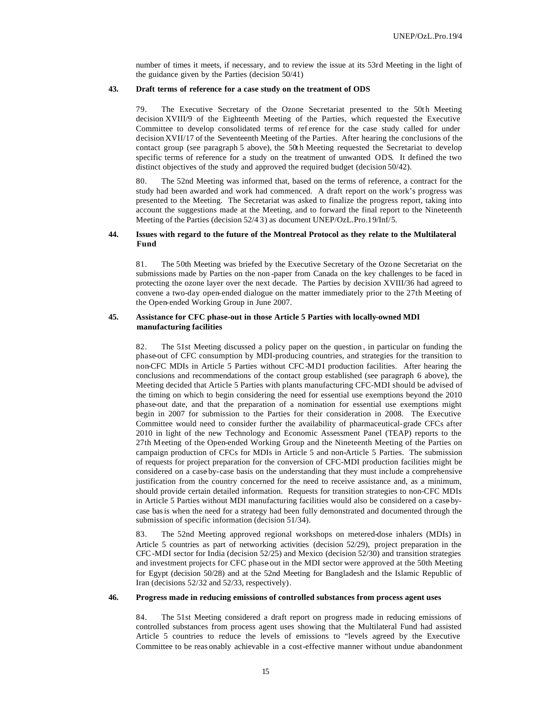number of times it meets, if necessary, and to review the issue at its 53rd Meeting in the light of the guidance given by the Parties (decision 50/41)

## **43. Draft terms of reference for a case study on the treatment of ODS**

79. The Executive Secretary of the Ozone Secretariat presented to the 50th Meeting decision XVIII/9 of the Eighteenth Meeting of the Parties, which requested the Executive Committee to develop consolidated terms of ref erence for the case study called for under decision XVII/17 of the Seventeenth Meeting of the Parties. After hearing the conclusions of the contact group (see paragraph 5 above), the 50th Meeting requested the Secretariat to develop specific terms of reference for a study on the treatment of unwanted ODS. It defined the two distinct objectives of the study and approved the required budget (decision 50/42).

80. The 52nd Meeting was informed that, based on the terms of reference, a contract for the study had been awarded and work had commenced. A draft report on the work's progress was presented to the Meeting. The Secretariat was asked to finalize the progress report, taking into account the suggestions made at the Meeting, and to forward the final report to the Nineteenth Meeting of the Parties (decision 52/4 3) as document UNEP/OzL.Pro.19/Inf/5.

## **44. Issues with regard to the future of the Montreal Protocol as they relate to the Multilateral Fund**

81. The 50th Meeting was briefed by the Executive Secretary of the Ozone Secretariat on the submissions made by Parties on the non -paper from Canada on the key challenges to be faced in protecting the ozone layer over the next decade. The Parties by decision XVIII/36 had agreed to convene a two-day open-ended dialogue on the matter immediately prior to the 27th Meeting of the Open-ended Working Group in June 2007.

## **45. Assistance for CFC phase-out in those Article 5 Parties with locally-owned MDI manufacturing facilities**

82. The 51st Meeting discussed a policy paper on the question , in particular on funding the phase-out of CFC consumption by MDI-producing countries, and strategies for the transition to non-CFC MDIs in Article 5 Parties without CFC-MDI production facilities. After hearing the conclusions and recommendations of the contact group established (see paragraph 6 above), the Meeting decided that Article 5 Parties with plants manufacturing CFC-MDI should be advised of the timing on which to begin considering the need for essential use exemptions beyond the 2010 phase-out date, and that the preparation of a nomination for essential use exemptions might begin in 2007 for submission to the Parties for their consideration in 2008. The Executive Committee would need to consider further the availability of pharmaceutical-grade CFCs after 2010 in light of the new Technology and Economic Assessment Panel (TEAP) reports to the 27th Meeting of the Open-ended Working Group and the Nineteenth Meeting of the Parties on campaign production of CFCs for MDIs in Article 5 and non-Article 5 Parties. The submission of requests for project preparation for the conversion of CFC-MDI production facilities might be considered on a case-by-case basis on the understanding that they must include a comprehensive justification from the country concerned for the need to receive assistance and, as a minimum, should provide certain detailed information. Requests for transition strategies to non-CFC MDIs in Article 5 Parties without MDI manufacturing facilities would also be considered on a case-bycase basis when the need for a strategy had been fully demonstrated and documented through the submission of specific information (decision 51/34).

83. The 52nd Meeting approved regional workshops on metered-dose inhalers (MDIs) in Article 5 countries as part of networking activities (decision 52/29), project preparation in the CFC-MDI sector for India (decision 52/25) and Mexico (decision 52/30) and transition strategies and investment projects for CFC phase-out in the MDI sector were approved at the 50th Meeting for Egypt (decision 50/28) and at the 52nd Meeting for Bangladesh and the Islamic Republic of Iran (decisions 52/32 and 52/33, respectively).

### **46. Progress made in reducing emissions of controlled substances from process agent uses**

84. The 51st Meeting considered a draft report on progress made in reducing emissions of controlled substances from process agent uses showing that the Multilateral Fund had assisted Article 5 countries to reduce the levels of emissions to "levels agreed by the Executive Committee to be reas onably achievable in a cost-effective manner without undue abandonment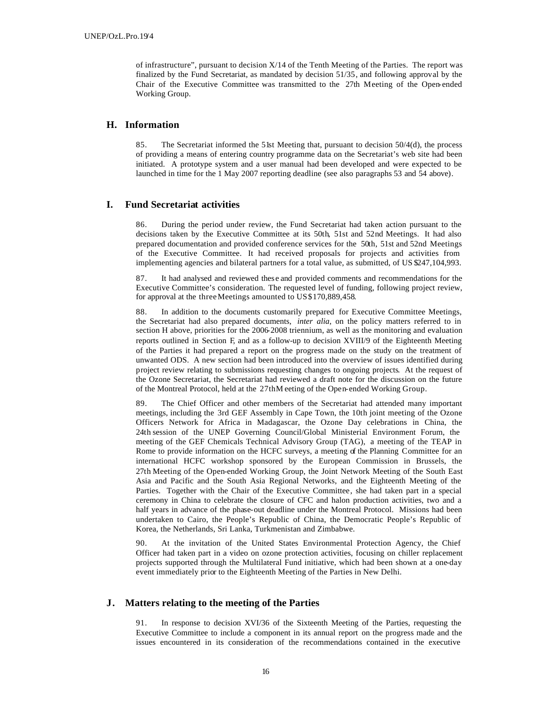of infrastructure", pursuant to decision X/14 of the Tenth Meeting of the Parties. The report was finalized by the Fund Secretariat, as mandated by decision 51/35, and following approval by the Chair of the Executive Committee was transmitted to the 27th Meeting of the Open-ended Working Group.

## **H. Information**

85. The Secretariat informed the 51st Meeting that, pursuant to decision 50/4(d), the process of providing a means of entering country programme data on the Secretariat's web site had been initiated. A prototype system and a user manual had been developed and were expected to be launched in time for the 1 May 2007 reporting deadline (see also paragraphs 53 and 54 above).

## **I. Fund Secretariat activities**

86. During the period under review, the Fund Secretariat had taken action pursuant to the decisions taken by the Executive Committee at its 50th, 51st and 52nd Meetings. It had also prepared documentation and provided conference services for the 50th, 51st and 52nd Meetings of the Executive Committee. It had received proposals for projects and activities from implementing agencies and bilateral partners for a total value, as submitted, of US \$247,104,993.

87. It had analysed and reviewed these and provided comments and recommendations for the Executive Committee's consideration. The requested level of funding, following project review, for approval at the three Meetings amounted to US\$170,889,458.

88. In addition to the documents customarily prepared for Executive Committee Meetings, the Secretariat had also prepared documents, *inter alia*, on the policy matters referred to in section H above, priorities for the 2006-2008 triennium, as well as the monitoring and evaluation reports outlined in Section F, and as a follow-up to decision XVIII/9 of the Eighteenth Meeting of the Parties it had prepared a report on the progress made on the study on the treatment of unwanted ODS. A new section had been introduced into the overview of issues identified during project review relating to submissions requesting changes to ongoing projects. At the request of the Ozone Secretariat, the Secretariat had reviewed a draft note for the discussion on the future of the Montreal Protocol, held at the 27thM eeting of the Open-ended Working Group.

89. The Chief Officer and other members of the Secretariat had attended many important meetings, including the 3rd GEF Assembly in Cape Town, the 10th joint meeting of the Ozone Officers Network for Africa in Madagascar, the Ozone Day celebrations in China, the 24th session of the UNEP Governing Council/Global Ministerial Environment Forum, the meeting of the GEF Chemicals Technical Advisory Group (TAG), a meeting of the TEAP in Rome to provide information on the HCFC surveys, a meeting of the Planning Committee for an international HCFC workshop sponsored by the European Commission in Brussels, the 27th Meeting of the Open-ended Working Group, the Joint Network Meeting of the South East Asia and Pacific and the South Asia Regional Networks, and the Eighteenth Meeting of the Parties. Together with the Chair of the Executive Committee, she had taken part in a special ceremony in China to celebrate the closure of CFC and halon production activities, two and a half years in advance of the phase-out deadline under the Montreal Protocol. Missions had been undertaken to Cairo, the People's Republic of China, the Democratic People's Republic of Korea, the Netherlands, Sri Lanka, Turkmenistan and Zimbabwe.

90. At the invitation of the United States Environmental Protection Agency, the Chief Officer had taken part in a video on ozone protection activities, focusing on chiller replacement projects supported through the Multilateral Fund initiative, which had been shown at a one-day event immediately prior to the Eighteenth Meeting of the Parties in New Delhi.

## **J. Matters relating to the meeting of the Parties**

91. In response to decision XVI/36 of the Sixteenth Meeting of the Parties, requesting the Executive Committee to include a component in its annual report on the progress made and the issues encountered in its consideration of the recommendations contained in the executive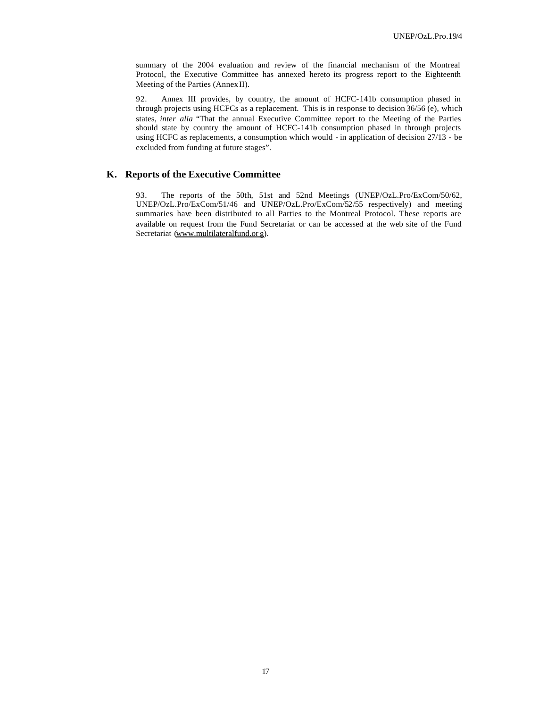summary of the 2004 evaluation and review of the financial mechanism of the Montreal Protocol, the Executive Committee has annexed hereto its progress report to the Eighteenth Meeting of the Parties (AnnexII).

92. Annex III provides, by country, the amount of HCFC-141b consumption phased in through projects using HCFCs as a replacement. This is in response to decision 36/56 (e), which states, *inter alia* "That the annual Executive Committee report to the Meeting of the Parties should state by country the amount of HCFC-141b consumption phased in through projects using HCFC as replacements, a consumption which would - in application of decision 27/13 - be excluded from funding at future stages".

## **K. Reports of the Executive Committee**

93. The reports of the 50th, 51st and 52nd Meetings (UNEP/OzL.Pro/ExCom/50/62, UNEP/OzL.Pro/ExCom/51/46 and UNEP/OzL.Pro/ExCom/52/55 respectively) and meeting summaries have been distributed to all Parties to the Montreal Protocol. These reports are available on request from the Fund Secretariat or can be accessed at the web site of the Fund Secretariat (www.multilateralfund.or g).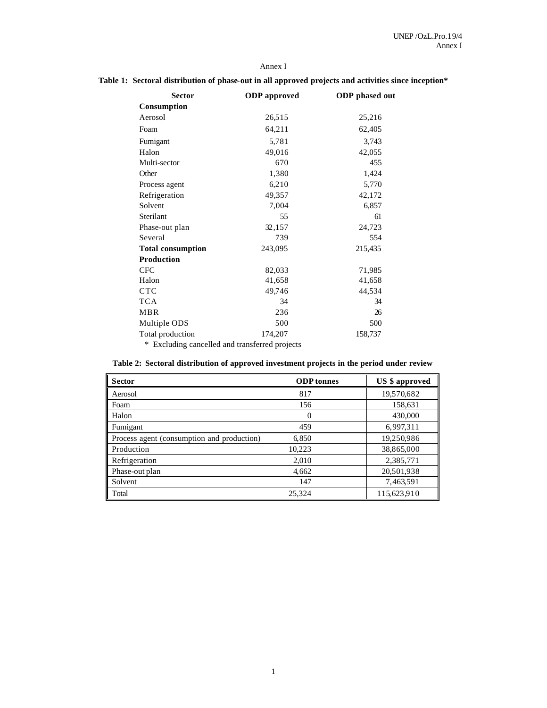## Annex I

## **Table 1: Sectoral distribution of phase-out in all approved projects and activities since inception\***

| <b>Sector</b>            | <b>ODP</b> approved | <b>ODP</b> phased out |
|--------------------------|---------------------|-----------------------|
| Consumption              |                     |                       |
| Aerosol                  | 26,515              | 25,216                |
| Foam                     | 64,211              | 62,405                |
| Fumigant                 | 5,781               | 3,743                 |
| Halon                    | 49,016              | 42,055                |
| Multi-sector             | 670                 | 455                   |
| Other                    | 1,380               | 1,424                 |
| Process agent            | 6,210               | 5,770                 |
| Refrigeration            | 49,357              | 42,172                |
| Solvent                  | 7,004               | 6,857                 |
| Sterilant                | 55                  | 61                    |
| Phase-out plan           | 32,157              | 24,723                |
| Several                  | 739                 | 554                   |
| <b>Total consumption</b> | 243,095             | 215,435               |
| Production               |                     |                       |
| <b>CFC</b>               | 82,033              | 71,985                |
| Halon                    | 41,658              | 41,658                |
| <b>CTC</b>               | 49,746              | 44,534                |
| <b>TCA</b>               | 34                  | 34                    |
| <b>MBR</b>               | 236                 | 26                    |
| Multiple ODS             | 500                 | 500                   |
| Total production         | 174,207             | 158,737               |

\* Excluding cancelled and transferred projects

| Table 2: Sectoral distribution of approved investment projects in the period under review |  |  |  |
|-------------------------------------------------------------------------------------------|--|--|--|
|-------------------------------------------------------------------------------------------|--|--|--|

| <b>Sector</b>                              | <b>ODP</b> tonnes | <b>US</b> \$ approved |
|--------------------------------------------|-------------------|-----------------------|
| Aerosol                                    | 817               | 19,570,682            |
| Foam                                       | 156               | 158,631               |
| Halon                                      | $\theta$          | 430,000               |
| Fumigant                                   | 459               | 6,997,311             |
| Process agent (consumption and production) | 6,850             | 19,250,986            |
| Production                                 | 10,223            | 38,865,000            |
| Refrigeration                              | 2,010             | 2,385,771             |
| Phase-out plan                             | 4,662             | 20,501,938            |
| Solvent                                    | 147               | 7,463,591             |
| Total                                      | 25,324            | 115,623,910           |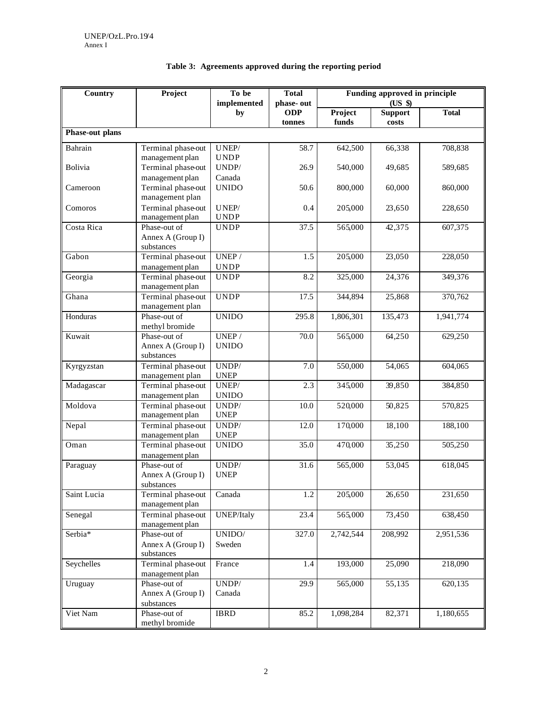| Country         | Project                               | To be<br>implemented                 | <b>Total</b><br>phase-out | Funding approved in principle<br>(US \$) |                         |              |
|-----------------|---------------------------------------|--------------------------------------|---------------------------|------------------------------------------|-------------------------|--------------|
|                 | by                                    |                                      | <b>ODP</b><br>tonnes      | Project<br>funds                         | <b>Support</b><br>costs | <b>Total</b> |
| Phase-out plans |                                       |                                      |                           |                                          |                         |              |
| Bahrain         | Terminal phase-out                    | UNEP/                                | 58.7                      | 642,500                                  | 66,338                  | 708,838      |
|                 | management plan                       | <b>UNDP</b>                          |                           |                                          |                         |              |
| Bolivia         | Terminal phase-out                    | UNDP/                                | 26.9                      | 540,000                                  | 49,685                  | 589,685      |
|                 | management plan                       | Canada                               |                           |                                          |                         |              |
| Cameroon        | Terminal phase-out                    | <b>UNIDO</b>                         | 50.6                      | 800,000                                  | 60,000                  | 860,000      |
|                 | management plan                       |                                      |                           |                                          |                         |              |
| Comoros         | Terminal phase-out                    | $UNEP/$                              | 0.4                       | 205,000                                  | 23,650                  | 228,650      |
|                 | management plan                       | <b>UNDP</b>                          |                           |                                          |                         |              |
| Costa Rica      | Phase-out of                          | <b>UNDP</b>                          | 37.5                      | 565,000                                  | 42,375                  | 607,375      |
|                 | Annex A (Group I)                     |                                      |                           |                                          |                         |              |
| Gabon           | substances                            | UNEP /                               | 1.5                       | 205,000                                  | 23,050                  | 228,050      |
|                 | Terminal phase-out<br>management plan | <b>UNDP</b>                          |                           |                                          |                         |              |
| Georgia         | Terminal phase-out                    | <b>UNDP</b>                          | 8.2                       | 325,000                                  | 24,376                  | 349,376      |
|                 | management plan                       |                                      |                           |                                          |                         |              |
| Ghana           | Terminal phase-out                    | <b>UNDP</b>                          | 17.5                      | 344,894                                  | 25,868                  | 370,762      |
|                 | management plan                       |                                      |                           |                                          |                         |              |
| Honduras        | Phase-out of                          | <b>UNIDO</b>                         | 295.8                     | 1,806,301                                | 135,473                 | 1,941,774    |
|                 | methyl bromide                        |                                      |                           |                                          |                         |              |
| Kuwait          | Phase-out of                          | UNEP/                                | 70.0                      | 565,000                                  | 64,250                  | 629,250      |
|                 | Annex A (Group I)                     | <b>UNIDO</b>                         |                           |                                          |                         |              |
|                 | substances                            |                                      |                           |                                          |                         |              |
| Kyrgyzstan      | Terminal phase-out                    | $\ensuremath{\mathsf{UNDP}}\xspace/$ | 7.0                       | 550,000                                  | 54,065                  | 604,065      |
|                 | management plan                       | <b>UNEP</b>                          |                           |                                          |                         |              |
| Madagascar      | Terminal phase-out                    | $\ensuremath{\mathsf{UNEP}}\xspace/$ | 2.3                       | 345,000                                  | 39,850                  | 384,850      |
|                 | management plan                       | <b>UNIDO</b>                         |                           |                                          |                         |              |
| Moldova         | Terminal phase-out                    | UNDP/                                | 10.0                      | 520,000                                  | 50,825                  | 570,825      |
|                 | management plan                       | <b>UNEP</b>                          |                           |                                          |                         |              |
| Nepal           | Terminal phase-out                    | UNDP/                                | 12.0                      | 170,000                                  | 18,100                  | 188,100      |
|                 | management plan                       | <b>UNEP</b>                          | 35.0                      | 470,000                                  | 35,250                  |              |
| Oman            | Terminal phase-out<br>management plan | <b>UNIDO</b>                         |                           |                                          |                         | 505,250      |
| Paraguay        | Phase-out of                          | UNDP/                                | 31.6                      | 565,000                                  | 53,045                  | 618,045      |
|                 | Annex A (Group I)                     | <b>UNEP</b>                          |                           |                                          |                         |              |
|                 | substances                            |                                      |                           |                                          |                         |              |
| Saint Lucia     | Terminal phase-out                    | Canada                               | 1.2                       | 205,000                                  | 26,650                  | 231,650      |
|                 | management plan                       |                                      |                           |                                          |                         |              |
| Senegal         | Terminal phase-out                    | <b>UNEP/Italy</b>                    | 23.4                      | 565,000                                  | 73,450                  | 638,450      |
|                 | management plan                       |                                      |                           |                                          |                         |              |
| Serbia*         | Phase-out of                          | $\ensuremath{\text{UNIDO}}\xspace/$  | 327.0                     | 2,742,544                                | 208,992                 | 2,951,536    |
|                 | Annex A (Group I)                     | Sweden                               |                           |                                          |                         |              |
|                 | substances                            |                                      |                           |                                          |                         |              |
| Seychelles      | Terminal phase-out                    | France                               | 1.4                       | 193,000                                  | 25,090                  | 218,090      |
|                 | management plan                       |                                      |                           |                                          |                         |              |
| Uruguay         | Phase-out of                          | $\ensuremath{\mathsf{UNDP}}\xspace/$ | 29.9                      | 565,000                                  | 55,135                  | 620,135      |
|                 | Annex A (Group I)                     | Canada                               |                           |                                          |                         |              |
|                 | substances                            |                                      |                           |                                          |                         |              |
| Viet Nam        | Phase-out of<br>methyl bromide        | <b>IBRD</b>                          | 85.2                      | 1,098,284                                | 82,371                  | 1,180,655    |
|                 |                                       |                                      |                           |                                          |                         |              |

## **Table 3: Agreements approved during the reporting period**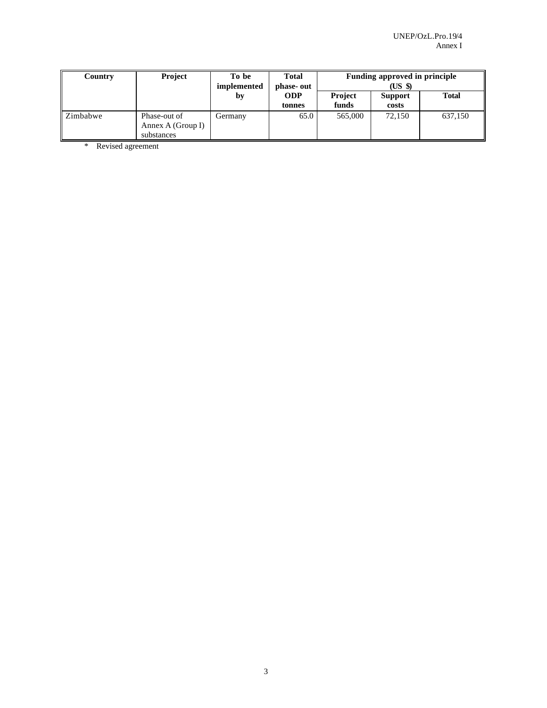| Country     | <b>Project</b>                                  | To be<br>implemented | <b>Total</b><br>phase-out |                         | Funding approved in principle<br>(US \$) |              |
|-------------|-------------------------------------------------|----------------------|---------------------------|-------------------------|------------------------------------------|--------------|
|             |                                                 | by                   | <b>ODP</b><br>tonnes      | <b>Project</b><br>funds | <b>Support</b><br>costs                  | <b>Total</b> |
| ll Zimbabwe | Phase-out of<br>Annex A (Group I)<br>substances | Germany              | 65.0                      | 565,000                 | 72.150                                   | 637,150      |

\* Revised agreement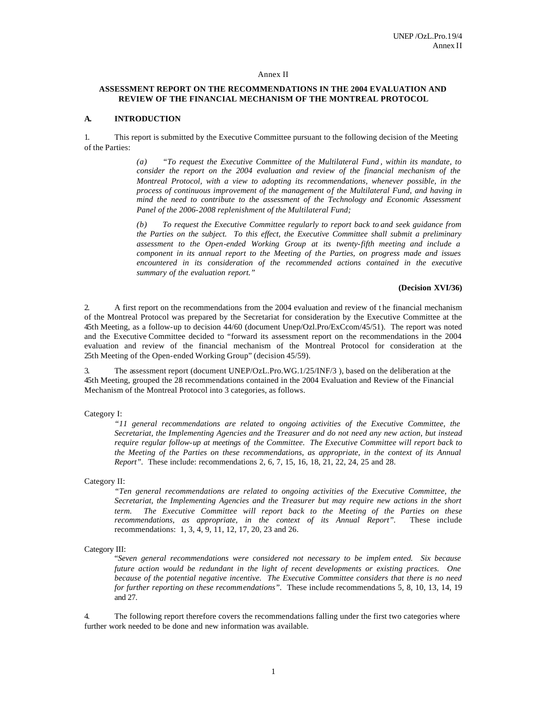## Annex II

## **ASSESSMENT REPORT ON THE RECOMMENDATIONS IN THE 2004 EVALUATION AND REVIEW OF THE FINANCIAL MECHANISM OF THE MONTREAL PROTOCOL**

## **A. INTRODUCTION**

1. This report is submitted by the Executive Committee pursuant to the following decision of the Meeting of the Parties:

> *(a) "To request the Executive Committee of the Multilateral Fund , within its mandate, to consider the report on the 2004 evaluation and review of the financial mechanism of the Montreal Protocol, with a view to adopting its recommendations, whenever possible, in the process of continuous improvement of the management of the Multilateral Fund, and having in mind the need to contribute to the assessment of the Technology and Economic Assessment Panel of the 2006-2008 replenishment of the Multilateral Fund;*

> *(b) To request the Executive Committee regularly to report back to and seek guidance from the Parties on the subject. To this effect, the Executive Committee shall submit a preliminary assessment to the Open-ended Working Group at its twenty-fifth meeting and include a component in its annual report to the Meeting of the Parties, on progress made and issues encountered in its consideration of the recommended actions contained in the executive summary of the evaluation report."*

#### **(Decision XVI/36)**

2. A first report on the recommendations from the 2004 evaluation and review of t he financial mechanism of the Montreal Protocol was prepared by the Secretariat for consideration by the Executive Committee at the 45th Meeting, as a follow-up to decision 44/60 (document Unep/Ozl.Pro/ExCcom/45/51). The report was noted and the Executive Committee decided to "forward its assessment report on the recommendations in the 2004 evaluation and review of the financial mechanism of the Montreal Protocol for consideration at the 25th Meeting of the Open-ended Working Group" (decision 45/59).

The assessment report (document UNEP/OzL.Pro.WG.1/25/INF/3), based on the deliberation at the 45th Meeting, grouped the 28 recommendations contained in the 2004 Evaluation and Review of the Financial Mechanism of the Montreal Protocol into 3 categories, as follows.

#### Category I:

*"11 general recommendations are related to ongoing activities of the Executive Committee, the Secretariat, the Implementing Agencies and the Treasurer and do not need any new action, but instead require regular follow-up at meetings of the Committee. The Executive Committee will report back to the Meeting of the Parties on these recommendations, as appropriate, in the context of its Annual Report".* These include: recommendations 2, 6, 7, 15, 16, 18, 21, 22, 24, 25 and 28.

#### Category II:

*"Ten general recommendations are related to ongoing activities of the Executive Committee, the Secretariat, the Implementing Agencies and the Treasurer but may require new actions in the short term. The Executive Committee will report back to the Meeting of the Parties on these recommendations, as appropriate, in the context of its Annual Report".* These include recommendations: 1, 3, 4, 9, 11, 12, 17, 20, 23 and 26.

#### Category III:

"*Seven general recommendations were considered not necessary to be implem ented. Six because future action would be redundant in the light of recent developments or existing practices. One because of the potential negative incentive. The Executive Committee considers that there is no need for further reporting on these recommendations".* These include recommendations 5, 8, 10, 13, 14, 19 and 27.

4. The following report therefore covers the recommendations falling under the first two categories where further work needed to be done and new information was available.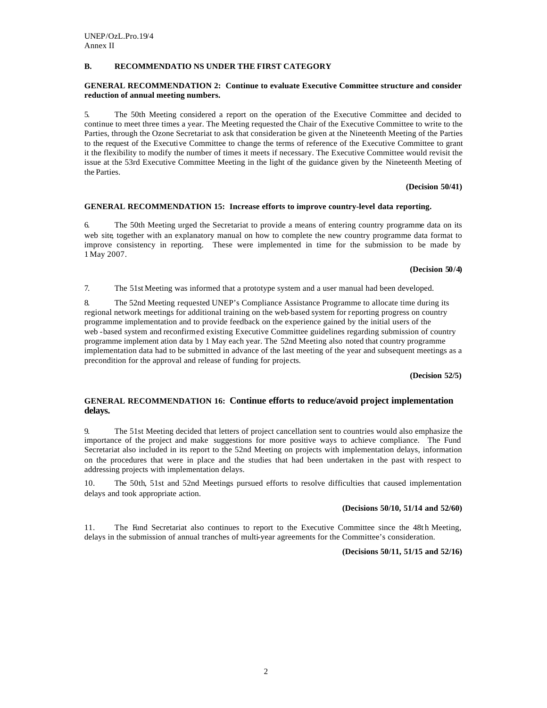## **B. RECOMMENDATIO NS UNDER THE FIRST CATEGORY**

## **GENERAL RECOMMENDATION 2: Continue to evaluate Executive Committee structure and consider reduction of annual meeting numbers.**

5. The 50th Meeting considered a report on the operation of the Executive Committee and decided to continue to meet three times a year. The Meeting requested the Chair of the Executive Committee to write to the Parties, through the Ozone Secretariat to ask that consideration be given at the Nineteenth Meeting of the Parties to the request of the Executive Committee to change the terms of reference of the Executive Committee to grant it the flexibility to modify the number of times it meets if necessary. The Executive Committee would revisit the issue at the 53rd Executive Committee Meeting in the light of the guidance given by the Nineteenth Meeting of the Parties.

#### **(Decision 50/41)**

#### **GENERAL RECOMMENDATION 15: Increase efforts to improve country-level data reporting.**

6. The 50th Meeting urged the Secretariat to provide a means of entering country programme data on its web site, together with an explanatory manual on how to complete the new country programme data format to improve consistency in reporting. These were implemented in time for the submission to be made by 1 May 2007.

#### **(Decision 50/4)**

7. The 51st Meeting was informed that a prototype system and a user manual had been developed.

8. The 52nd Meeting requested UNEP's Compliance Assistance Programme to allocate time during its regional network meetings for additional training on the web-based system for reporting progress on country programme implementation and to provide feedback on the experience gained by the initial users of the web -based system and reconfirmed existing Executive Committee guidelines regarding submission of country programme implement ation data by 1 May each year. The 52nd Meeting also noted that country programme implementation data had to be submitted in advance of the last meeting of the year and subsequent meetings as a precondition for the approval and release of funding for projects.

**(Decision 52/5)**

## **GENERAL RECOMMENDATION 16: Continue efforts to reduce/avoid project implementation delays.**

9. The 51st Meeting decided that letters of project cancellation sent to countries would also emphasize the importance of the project and make suggestions for more positive ways to achieve compliance. The Fund Secretariat also included in its report to the 52nd Meeting on projects with implementation delays, information on the procedures that were in place and the studies that had been undertaken in the past with respect to addressing projects with implementation delays.

10. The 50th, 51st and 52nd Meetings pursued efforts to resolve difficulties that caused implementation delays and took appropriate action.

### **(Decisions 50/10, 51/14 and 52/60)**

11. The Fund Secretariat also continues to report to the Executive Committee since the 48th Meeting, delays in the submission of annual tranches of multi-year agreements for the Committee's consideration.

**(Decisions 50/11, 51/15 and 52/16)**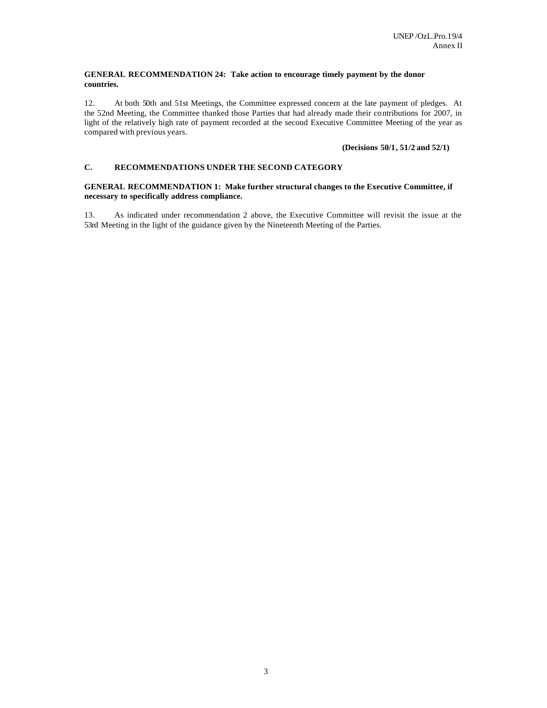## **GENERAL RECOMMENDATION 24: Take action to encourage timely payment by the donor countries.**

12. At both 50th and 51st Meetings, the Committee expressed concern at the late payment of pledges. At the 52nd Meeting, the Committee thanked those Parties that had already made their contributions for 2007, in light of the relatively high rate of payment recorded at the second Executive Committee Meeting of the year as compared with previous years.

## **(Decisions 50/1, 51/2 and 52/1)**

## **C. RECOMMENDATIONS UNDER THE SECOND CATEGORY**

## **GENERAL RECOMMENDATION 1: Make further structural changes to the Executive Committee, if necessary to specifically address compliance.**

13. As indicated under recommendation 2 above, the Executive Committee will revisit the issue at the 53rd Meeting in the light of the guidance given by the Nineteenth Meeting of the Parties.